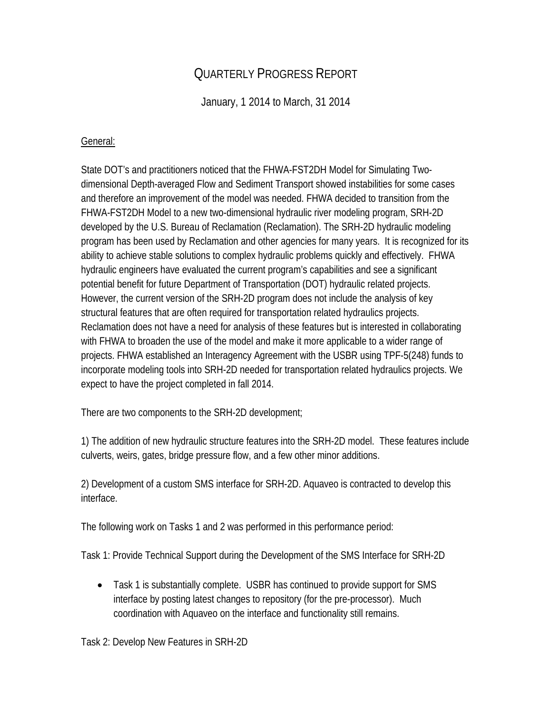## QUARTERLY PROGRESS REPORT

January, 1 2014 to March, 31 2014

## General:

State DOT's and practitioners noticed that the FHWA-FST2DH Model for Simulating Twodimensional Depth-averaged Flow and Sediment Transport showed instabilities for some cases and therefore an improvement of the model was needed. FHWA decided to transition from the FHWA-FST2DH Model to a new two-dimensional hydraulic river modeling program, SRH-2D developed by the U.S. Bureau of Reclamation (Reclamation). The SRH-2D hydraulic modeling program has been used by Reclamation and other agencies for many years. It is recognized for its ability to achieve stable solutions to complex hydraulic problems quickly and effectively. FHWA hydraulic engineers have evaluated the current program's capabilities and see a significant potential benefit for future Department of Transportation (DOT) hydraulic related projects. However, the current version of the SRH-2D program does not include the analysis of key structural features that are often required for transportation related hydraulics projects. Reclamation does not have a need for analysis of these features but is interested in collaborating with FHWA to broaden the use of the model and make it more applicable to a wider range of projects. FHWA established an Interagency Agreement with the USBR using TPF-5(248) funds to incorporate modeling tools into SRH-2D needed for transportation related hydraulics projects. We expect to have the project completed in fall 2014.

There are two components to the SRH-2D development;

1) The addition of new hydraulic structure features into the SRH-2D model. These features include culverts, weirs, gates, bridge pressure flow, and a few other minor additions.

2) Development of a custom SMS interface for SRH-2D. Aquaveo is contracted to develop this interface.

The following work on Tasks 1 and 2 was performed in this performance period:

Task 1: Provide Technical Support during the Development of the SMS Interface for SRH-2D

• Task 1 is substantially complete. USBR has continued to provide support for SMS interface by posting latest changes to repository (for the pre-processor). Much coordination with Aquaveo on the interface and functionality still remains.

Task 2: Develop New Features in SRH-2D